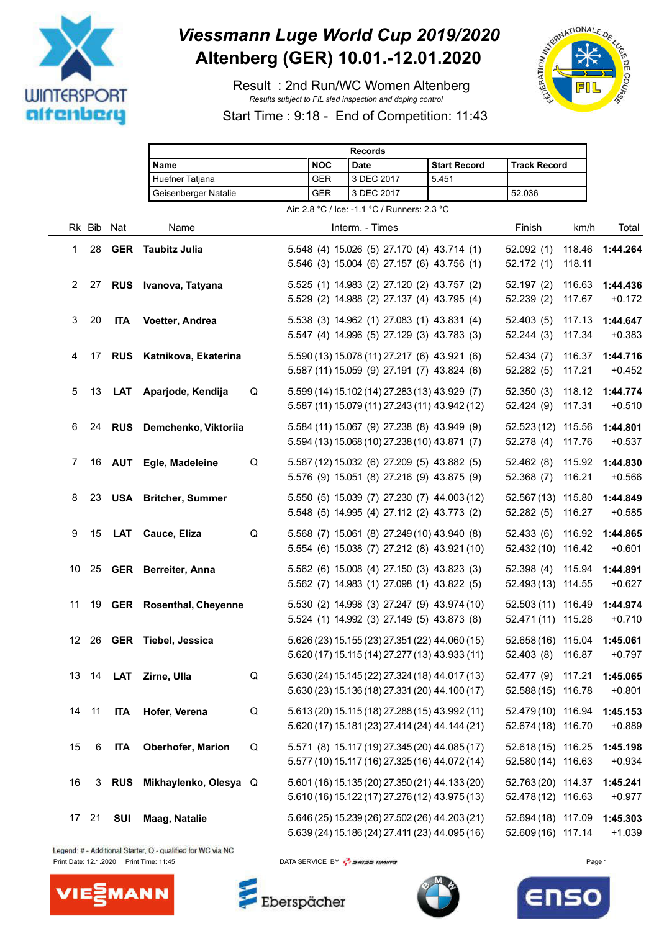

## *Viessmann Luge World Cup 2019/2020* **Altenberg (GER) 10.01.-12.01.2020**

 Result : 2nd Run/WC Women Altenberg *Results subject to FIL sled inspection and doping control*



Start Time : 9:18 - End of Competition: 11:43

|                  |        |            |                             |   |            | <b>Records</b>                                                                                   |                     |                                          |                  |                      |
|------------------|--------|------------|-----------------------------|---|------------|--------------------------------------------------------------------------------------------------|---------------------|------------------------------------------|------------------|----------------------|
|                  |        |            | <b>Name</b>                 |   | <b>NOC</b> | <b>Date</b>                                                                                      | <b>Start Record</b> | <b>Track Record</b>                      |                  |                      |
|                  |        |            | Huefner Tatjana             |   | <b>GER</b> | 3 DEC 2017                                                                                       | 5.451               |                                          |                  |                      |
|                  |        |            | Geisenberger Natalie        |   | <b>GER</b> | 3 DEC 2017                                                                                       |                     | 52.036                                   |                  |                      |
|                  |        |            |                             |   |            | Air: 2.8 °C / Ice: -1.1 °C / Runners: 2.3 °C                                                     |                     |                                          |                  |                      |
|                  | Rk Bib | Nat        | Name                        |   |            | Interm. - Times                                                                                  |                     | Finish                                   | km/h             | Total                |
| 1                | 28     | <b>GER</b> | <b>Taubitz Julia</b>        |   |            | 5.548 (4) 15.026 (5) 27.170 (4) 43.714 (1)<br>5.546 (3) 15.004 (6) 27.157 (6) 43.756 (1)         |                     | 52.092(1)<br>52.172(1)                   | 118.46<br>118.11 | 1:44.264             |
| 2                | 27     |            | RUS Ivanova, Tatyana        |   |            | 5.525 (1) 14.983 (2) 27.120 (2) 43.757 (2)<br>5.529 (2) 14.988 (2) 27.137 (4) 43.795 (4)         |                     | 52.197(2)<br>52.239 (2)                  | 116.63<br>117.67 | 1:44.436<br>$+0.172$ |
| 3                | 20     | <b>ITA</b> | Voetter, Andrea             |   |            | 5.538 (3) 14.962 (1) 27.083 (1) 43.831 (4)<br>5.547 (4) 14.996 (5) 27.129 (3) 43.783 (3)         |                     | 52.403(5)<br>52.244(3)                   | 117.13<br>117.34 | 1:44.647<br>$+0.383$ |
| 4                | 17     |            | RUS Katnikova, Ekaterina    |   |            | 5.590 (13) 15.078 (11) 27.217 (6) 43.921 (6)<br>5.587 (11) 15.059 (9) 27.191 (7) 43.824 (6)      |                     | 52.434(7)<br>52.282(5)                   | 116.37<br>117.21 | 1:44.716<br>$+0.452$ |
| 5                | 13     | <b>LAT</b> | Aparjode, Kendija           | Q |            | 5.599 (14) 15.102 (14) 27.283 (13) 43.929 (7)<br>5.587 (11) 15.079 (11) 27.243 (11) 43.942 (12)  |                     | 52.350(3)<br>52.424 (9)                  | 118.12<br>117.31 | 1:44.774<br>$+0.510$ |
| 6                | 24     | <b>RUS</b> | Demchenko, Viktoriia        |   |            | 5.584 (11) 15.067 (9) 27.238 (8) 43.949 (9)<br>5.594 (13) 15.068 (10) 27.238 (10) 43.871 (7)     |                     | 52.523 (12) 115.56<br>52.278(4)          | 117.76           | 1:44.801<br>$+0.537$ |
| 7                | 16     |            | <b>AUT</b> Egle, Madeleine  | Q |            | 5.587 (12) 15.032 (6) 27.209 (5) 43.882 (5)<br>5.576 (9) 15.051 (8) 27.216 (9) 43.875 (9)        |                     | 52.462 (8)<br>52.368(7)                  | 115.92<br>116.21 | 1:44.830<br>$+0.566$ |
| 8                | 23     |            | <b>USA</b> Britcher, Summer |   |            | 5.550 (5) 15.039 (7) 27.230 (7) 44.003 (12)<br>5.548 (5) 14.995 (4) 27.112 (2) 43.773 (2)        |                     | 52.567 (13) 115.80<br>52.282(5)          | 116.27           | 1:44.849<br>$+0.585$ |
| 9                | 15     | LAT        | Cauce, Eliza                | Q |            | 5.568 (7) 15.061 (8) 27.249 (10) 43.940 (8)<br>5.554 (6) 15.038 (7) 27.212 (8) 43.921 (10)       |                     | 52.433(6)<br>52.432 (10) 116.42          | 116.92           | 1:44.865<br>$+0.601$ |
| 10               | 25     |            | <b>GER</b> Berreiter, Anna  |   |            | 5.562 (6) 15.008 (4) 27.150 (3) 43.823 (3)<br>5.562 (7) 14.983 (1) 27.098 (1) 43.822 (5)         |                     | 52.398 (4) 115.94<br>52.493 (13) 114.55  |                  | 1:44.891<br>$+0.627$ |
| 11               |        |            | 19 GER Rosenthal, Cheyenne  |   |            | 5.530 (2) 14.998 (3) 27.247 (9) 43.974 (10)<br>5.524 (1) 14.992 (3) 27.149 (5) 43.873 (8)        |                     | 52.503 (11) 116.49<br>52.471 (11) 115.28 |                  | 1:44.974<br>$+0.710$ |
| 12 <sup>12</sup> |        |            | 26 GER Tiebel, Jessica      |   |            | 5.626 (23) 15.155 (23) 27.351 (22) 44.060 (15)<br>5.620 (17) 15.115 (14) 27.277 (13) 43.933 (11) |                     | 52.658 (16) 115.04<br>52.403 (8) 116.87  |                  | 1:45.061<br>$+0.797$ |
| 13               | 14     | <b>LAT</b> | Zirne, Ulla                 | Q |            | 5.630 (24) 15.145 (22) 27.324 (18) 44.017 (13)<br>5.630 (23) 15.136 (18) 27.331 (20) 44.100 (17) |                     | 52.477 (9) 117.21<br>52.588 (15) 116.78  |                  | 1:45.065<br>$+0.801$ |
| 14               | 11     | <b>ITA</b> | Hofer, Verena               | Q |            | 5.613 (20) 15.115 (18) 27.288 (15) 43.992 (11)<br>5.620 (17) 15.181 (23) 27.414 (24) 44.144 (21) |                     | 52.479 (10) 116.94<br>52.674 (18) 116.70 |                  | 1:45.153<br>$+0.889$ |
| 15               | 6      | <b>ITA</b> | Oberhofer, Marion           | Q |            | 5.571 (8) 15.117 (19) 27.345 (20) 44.085 (17)<br>5.577 (10) 15.117 (16) 27.325 (16) 44.072 (14)  |                     | 52.618 (15) 116.25<br>52.580 (14) 116.63 |                  | 1:45.198<br>$+0.934$ |
| 16               | 3      | <b>RUS</b> | Mikhaylenko, Olesya Q       |   |            | 5.601 (16) 15.135 (20) 27.350 (21) 44.133 (20)<br>5.610 (16) 15.122 (17) 27.276 (12) 43.975 (13) |                     | 52.763 (20) 114.37<br>52.478 (12) 116.63 |                  | 1:45.241<br>$+0.977$ |
|                  | 17 21  | <b>SUI</b> | Maag, Natalie               |   |            | 5.646 (25) 15.239 (26) 27.502 (26) 44.203 (21)<br>5.639 (24) 15.186 (24) 27.411 (23) 44.095 (16) |                     | 52.694 (18) 117.09<br>52.609 (16) 117.14 |                  | 1:45.303<br>$+1.039$ |

Legend: # - Additional Starter, Q - qualified for WC via NC

Print Date: 12.1.2020 Print Time: 11:45 DATA SERVICE BY  $\frac{7}{2}$  SWISS TIMING

Eberspächer